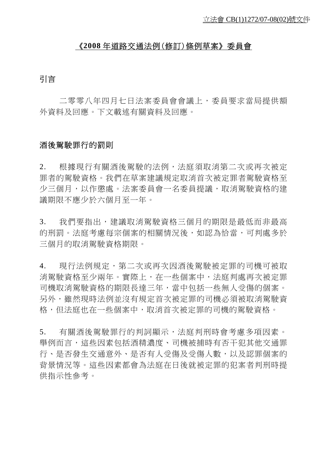#### 《**2008** 年道路交通法例(修訂)條例草案》委員會

## 引言

 二零零八年四月七日法案委員會會議上,委員要求當局提供額 外資料及回應。下文載述有關資料及回應。

#### 酒後駕駛罪行的罰則

2. 根據現行有關酒後駕駛的法例,法庭須取消第二次或再次被定 罪者的駕駛資格。我們在草案建議規定取消首次被定罪者駕駛資格至 少三個月,以作懲處。法案委員會一名委員提議,取消駕駛資格的建 議期限不應少於六個月至一年。

3. 我們要指出,建議取消駕駛資格三個月的期限是最低而非最高 的刑罰。法庭考慮每宗個案的相關情況後,如認為恰當,可判處多於 三個月的取消駕駛資格期限。

4. 現行法例規定,第二次或再次因洒後駕駛被定罪的司機可被取 消駕駛資格至少兩年。實際上,在一些個案中,法庭判處再次被定罪 司機取消駕駛資格的期限長達三年,當中包括一些無人受傷的個案。 另外,雖然現時法例並沒有規定首次被定罪的司機必須被取消駕駛資 格,但法庭也在一些個案中,取消首次被定罪的司機的駕駛資格。

5. 有關酒後駕駛罪行的判詞顯示,法庭判刑時會考慮多項因素。 舉例而言,這些因素包括酒精濃度、司機被捕時有否干犯其他交通罪 行、是否發生交通意外、是否有人受傷及受傷人數,以及認罪個案的 背景情況等。這些因素都會為法庭在日後就被定罪的犯案者判刑時提 供指示性參考。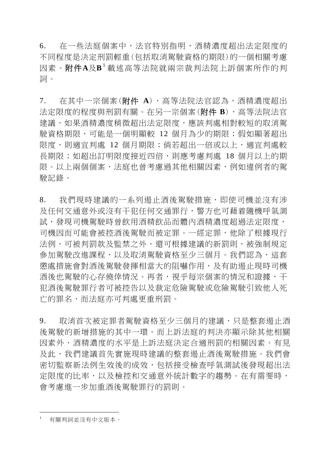6. 在一些法庭個案中,法官特別指明,酒精濃度超出法定限度的 不同程度是決定刑罰輕重(包括取消駕駛資格的期限)的一個相關考慮 因素。附件**A**及**B**[1](#page-1-0) 載述高等法院就兩宗裁判法院上訴個案所作的判 詞。

7. 在其中一宗個案(附件 **A**),高等法院法官認為,酒精濃度超出 法定限度的程度與刑罰有關。在另一宗個案(附件 **B**),高等法院法官 建議,如果酒精濃度稍微超出法定限度,應該判處相對較短的取消駕 駛資格期限,可能是一個明顯較 12 個月為少的期限;假如顯著超出 限度,則適宜判處 12 個月期限;倘若超出一倍或以上,適宜判處較 長期限;如超出訂明限度接近四倍,則應考慮判處 18 個月以上的期 限。以上兩個個案,法庭也曾考慮過其他相關因素,例如違例者的駕 駛記錄。

8. 我們現時建議的一系列遏止酒後駕駛措施,即使司機並沒有涉 及任何交通定行,警方也可藉着隨機呼氣測 試,發現司機駕駛時曾飲用酒精飲品而體內酒精濃度超過法定限度, 司機因而可能會被控酒後駕駛而被定罪。一經定罪,他除了根據現行 法例,可被判罰款及監禁之外,還可根據建議的新罰則,被強制規定 參加駕駛改進課程,以及取消駕駛資格至少三個月。我們認為,這套 懲處措施會對酒後駕駛發揮相當大的阻嚇作用,及有助遏止現時司機 酒後也駕駛的心存僥倖情況。再者,視乎每宗個案的情況和證據,干 犯酒後駕駛罪行者可被控告以及裁定危險駕駛或危險駕駛引致他人死 亡的罪名,而法庭亦可判處更重刑罰。

9. 取消首次被定罪者駕駛資格至少三個月的建議,只是整套遏止酒 後駕駛的新增措施的其中一環。而上訴法庭的判決亦顯示除其他相關 因素外,酒精濃度的水平是上訴法庭決定合適刑罰的相關因素。有見 及此,我們建議首先實施現時建議的整套遏止酒後駕駛措施。我們會 密切監察新法例生效後的成效,包括接受檢查呼氣測試後發現超出法 定限度的比率,以及檢控和交通意外統計數字的趨勢。在有需要時, 會考慮進一步加重酒後駕駛罪行的罰則。

 $\overline{a}$ 

<span id="page-1-0"></span><sup>1</sup> 有關判詞並沒有中文版本。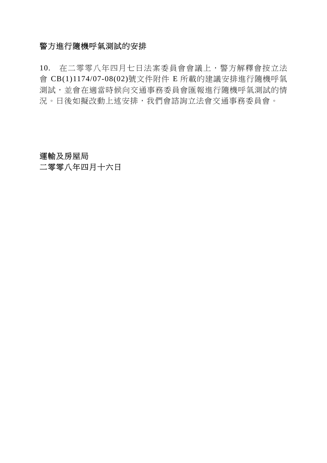### 警方進行隨機呼氣測試的安排

10. 在二零零八年四月七日法案委員會會議上,警方解釋會按立法 會 CB(1)1174/07-08(02)號文件附件 E 所載的建議安排進行隨機呼氣 測試,並會在適當時候向交通事務委員會匯報進行隨機呼氣測試的情 況。日後如擬改動上述安排,我們會諮詢立法會交通事務委員會。

# 運輸及房屋局 二零零八年四月十六日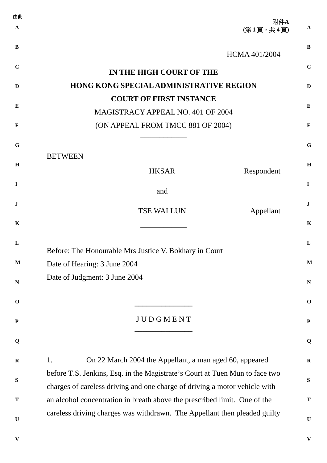| 由此          |                                                                             |              |
|-------------|-----------------------------------------------------------------------------|--------------|
| A           | 附件A<br>(第1頁,共4頁)                                                            | $\mathbf{A}$ |
| B           | <b>HCMA 401/2004</b>                                                        | B            |
| $\mathbf C$ | IN THE HIGH COURT OF THE                                                    | $\mathbf C$  |
| D           | <b>HONG KONG SPECIAL ADMINISTRATIVE REGION</b>                              | D            |
|             | <b>COURT OF FIRST INSTANCE</b>                                              |              |
| Е           | MAGISTRACY APPEAL NO. 401 OF 2004                                           | $\bf{E}$     |
| $\mathbf F$ | (ON APPEAL FROM TMCC 881 OF 2004)                                           | $\mathbf F$  |
| G           |                                                                             | $\mathbf G$  |
|             | <b>BETWEEN</b>                                                              |              |
| H           | <b>HKSAR</b><br>Respondent                                                  | H            |
| $\mathbf I$ | and                                                                         | $\mathbf I$  |
| J           |                                                                             | $\bf J$      |
| $\mathbf K$ | <b>TSE WAI LUN</b><br>Appellant                                             | $\mathbf K$  |
|             |                                                                             |              |
| L           | Before: The Honourable Mrs Justice V. Bokhary in Court                      | L            |
| $\mathbf M$ | Date of Hearing: 3 June 2004                                                | M            |
| $\mathbf N$ | Date of Judgment: 3 June 2004                                               | ${\bf N}$    |
| $\mathbf 0$ |                                                                             | $\mathbf 0$  |
| ${\bf P}$   | JUDGMENT                                                                    | ${\bf P}$    |
| Q           |                                                                             | Q            |
| $\mathbf R$ | On 22 March 2004 the Appellant, a man aged 60, appeared<br>1.               | $\mathbf R$  |
|             | before T.S. Jenkins, Esq. in the Magistrate's Court at Tuen Mun to face two |              |
| $\mathbf S$ | charges of careless driving and one charge of driving a motor vehicle with  |              |
| T           | an alcohol concentration in breath above the prescribed limit. One of the   | T            |
| $\mathbf U$ | careless driving charges was withdrawn. The Appellant then pleaded guilty   | $\mathbf U$  |
|             |                                                                             |              |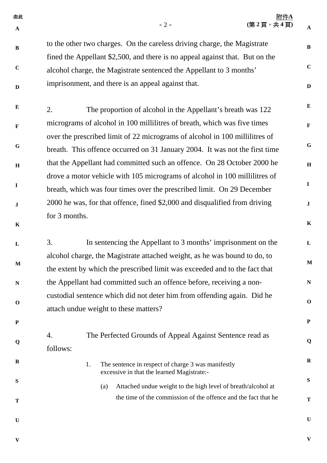| 由此<br>$\mathbf{A}$ | $-2-$                                                                                                                                                      | 附件A<br>(第2頁,共4頁) | $\mathbf{A}$ |
|--------------------|------------------------------------------------------------------------------------------------------------------------------------------------------------|------------------|--------------|
| $\bf{B}$           | to the other two charges. On the careless driving charge, the Magistrate<br>fined the Appellant \$2,500, and there is no appeal against that. But on the   |                  | $\, {\bf B}$ |
| $\mathbf C$        | alcohol charge, the Magistrate sentenced the Appellant to 3 months'                                                                                        |                  | $\mathbf C$  |
| $\mathbf D$        | imprisonment, and there is an appeal against that.                                                                                                         |                  | $\mathbf D$  |
| $\bf{E}$           | The proportion of alcohol in the Appellant's breath was 122<br>2.                                                                                          |                  | ${\bf E}$    |
| $\mathbf{F}$       | micrograms of alcohol in 100 millilitres of breath, which was five times                                                                                   |                  | $\mathbf F$  |
| G                  | over the prescribed limit of 22 micrograms of alcohol in 100 millilitres of<br>breath. This offence occurred on 31 January 2004. It was not the first time |                  | ${\bf G}$    |
| $\bf H$            | that the Appellant had committed such an offence. On 28 October 2000 he                                                                                    |                  | $\, {\bf H}$ |
| $\bf{I}$           | drove a motor vehicle with 105 micrograms of alcohol in 100 millilitres of<br>breath, which was four times over the prescribed limit. On 29 December       |                  | $\mathbf I$  |
| $\bf J$            | 2000 he was, for that offence, fined \$2,000 and disqualified from driving                                                                                 |                  | $\mathbf{J}$ |
| $\mathbf K$        | for 3 months.                                                                                                                                              |                  | $\mathbf K$  |
| L                  | In sentencing the Appellant to 3 months' imprisonment on the<br>3.                                                                                         |                  | ${\bf L}$    |
| $\mathbf M$        | alcohol charge, the Magistrate attached weight, as he was bound to do, to<br>the extent by which the prescribed limit was exceeded and to the fact that    |                  | $\mathbf M$  |
| $\mathbf N$        | the Appellant had committed such an offence before, receiving a non-                                                                                       |                  | $\mathbf N$  |
| $\mathbf 0$        | custodial sentence which did not deter him from offending again. Did he<br>attach undue weight to these matters?                                           |                  | $\mathbf 0$  |
| $\mathbf P$        |                                                                                                                                                            |                  | ${\bf P}$    |
| Q                  | The Perfected Grounds of Appeal Against Sentence read as<br>4.<br>follows:                                                                                 |                  | Q            |
| $\mathbf R$        | The sentence in respect of charge 3 was manifestly<br>1.<br>excessive in that the learned Magistrate:-                                                     |                  | $\mathbf R$  |
| S                  | Attached undue weight to the high level of breath/alcohol at<br>(a)                                                                                        |                  | ${\bf S}$    |
| T                  | the time of the commission of the offence and the fact that he                                                                                             |                  | $\mathbf T$  |
| $\mathbf U$        |                                                                                                                                                            |                  | $\mathbf U$  |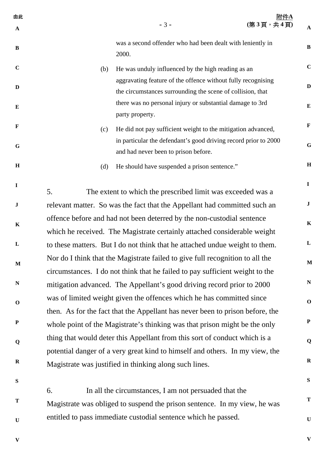| 由此<br>$\mathbf A$ |                                                                               | $-3-$                                                                                                                                                         | <u>附件A</u><br>(第3頁,共4頁) | $\mathbf{A}$ |  |  |
|-------------------|-------------------------------------------------------------------------------|---------------------------------------------------------------------------------------------------------------------------------------------------------------|-------------------------|--------------|--|--|
| $\bf{B}$          |                                                                               | was a second offender who had been dealt with leniently in<br>2000.                                                                                           |                         | $\bf{B}$     |  |  |
| $\mathbf C$       | (b)                                                                           | He was unduly influenced by the high reading as an                                                                                                            |                         | $\mathbf C$  |  |  |
| $\mathbf{D}$      |                                                                               | aggravating feature of the offence without fully recognising<br>the circumstances surrounding the scene of collision, that                                    |                         | $\mathbf{D}$ |  |  |
| $\bf{E}$          |                                                                               | there was no personal injury or substantial damage to 3rd<br>party property.                                                                                  |                         | ${\bf E}$    |  |  |
| $\mathbf{F}$      | (c)                                                                           | He did not pay sufficient weight to the mitigation advanced,                                                                                                  |                         | $\mathbf F$  |  |  |
| G                 |                                                                               | in particular the defendant's good driving record prior to 2000<br>and had never been to prison before.                                                       |                         | $\mathbf G$  |  |  |
| H                 | (d)                                                                           | He should have suspended a prison sentence."                                                                                                                  |                         | $\, {\bf H}$ |  |  |
| $\mathbf I$       | 5.                                                                            | The extent to which the prescribed limit was exceeded was a                                                                                                   |                         | $\mathbf{I}$ |  |  |
| ${\bf J}$         |                                                                               | relevant matter. So was the fact that the Appellant had committed such an                                                                                     |                         | $\mathbf J$  |  |  |
| $\mathbf K$       |                                                                               | offence before and had not been deterred by the non-custodial sentence                                                                                        |                         | $\mathbf K$  |  |  |
|                   | which he received. The Magistrate certainly attached considerable weight      |                                                                                                                                                               |                         |              |  |  |
| $\mathbf L$       |                                                                               | to these matters. But I do not think that he attached undue weight to them.                                                                                   |                         | $\mathbf{L}$ |  |  |
| $\mathbf M$       |                                                                               | Nor do I think that the Magistrate failed to give full recognition to all the<br>circumstances. I do not think that he failed to pay sufficient weight to the |                         | M            |  |  |
| N                 |                                                                               | mitigation advanced. The Appellant's good driving record prior to 2000                                                                                        |                         | ${\bf N}$    |  |  |
| $\mathbf 0$       |                                                                               | was of limited weight given the offences which he has committed since                                                                                         |                         | $\mathbf 0$  |  |  |
|                   | then. As for the fact that the Appellant has never been to prison before, the |                                                                                                                                                               |                         |              |  |  |
| ${\bf P}$         |                                                                               | whole point of the Magistrate's thinking was that prison might be the only                                                                                    |                         | $\mathbf P$  |  |  |
| Q                 |                                                                               | thing that would deter this Appellant from this sort of conduct which is a                                                                                    |                         | Q            |  |  |
|                   |                                                                               | potential danger of a very great kind to himself and others. In my view, the                                                                                  |                         |              |  |  |
| $\mathbf R$       |                                                                               | Magistrate was justified in thinking along such lines.                                                                                                        |                         | $\bf R$      |  |  |

6. In all the circumstances, I am not persuaded that the Magistrate was obliged to suspend the prison sentence. In my view, he was entitled to pass immediate custodial sentence which he passed.

**V** 

**S**

**T**

**U**

**V** 

**S**

**T**

**U**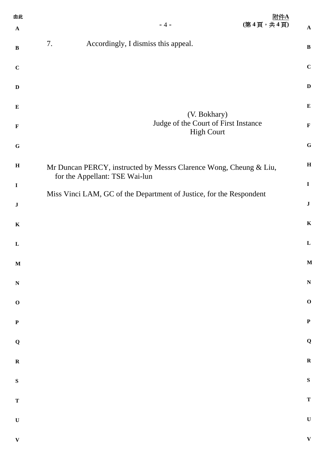| 由此           |                                                                                                       | 附件A       |              |
|--------------|-------------------------------------------------------------------------------------------------------|-----------|--------------|
| $\mathbf{A}$ | $-4-$                                                                                                 | (第4頁,共4頁) | $\mathbf{A}$ |
| $\, {\bf B}$ | 7.<br>Accordingly, I dismiss this appeal.                                                             |           | $\, {\bf B}$ |
| $\mathbf C$  |                                                                                                       |           | $\mathbf C$  |
| $\mathbf D$  |                                                                                                       |           | $\mathbf D$  |
| ${\bf E}$    | (V. Bokhary)                                                                                          |           | ${\bf E}$    |
| $\mathbf{F}$ | Judge of the Court of First Instance<br><b>High Court</b>                                             |           | $\mathbf F$  |
| ${\bf G}$    |                                                                                                       |           | $\bf G$      |
| $\, {\bf H}$ | Mr Duncan PERCY, instructed by Messrs Clarence Wong, Cheung & Liu,                                    |           | $\bf H$      |
| $\mathbf I$  | for the Appellant: TSE Wai-lun<br>Miss Vinci LAM, GC of the Department of Justice, for the Respondent |           | $\mathbf I$  |
| $\bf J$      |                                                                                                       |           | $\bf J$      |
| $\mathbf K$  |                                                                                                       |           | $\mathbf K$  |
| L            |                                                                                                       |           | ${\bf L}$    |
| $\mathbf M$  |                                                                                                       |           | M            |
| $\mathbf N$  |                                                                                                       |           | $\mathbf N$  |
| $\mathbf O$  |                                                                                                       |           | $\mathbf 0$  |
| $\mathbf P$  |                                                                                                       |           | $\mathbf P$  |
| $\mathbf Q$  |                                                                                                       |           | $\mathbf Q$  |
| $\mathbf R$  |                                                                                                       |           | $\mathbf R$  |
| ${\bf S}$    |                                                                                                       |           | ${\bf S}$    |
| $\mathbf T$  |                                                                                                       |           | $\mathbf T$  |
| $\mathbf U$  |                                                                                                       |           | $\mathbf U$  |
| $\mathbf{V}$ |                                                                                                       |           | $\mathbf{V}$ |
|              |                                                                                                       |           |              |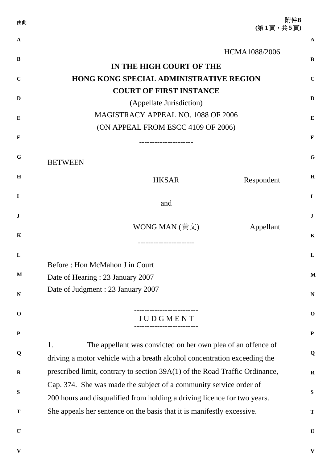| 由此           | 附件B<br>(第1頁,共5頁)                                                                                                                                |              |
|--------------|-------------------------------------------------------------------------------------------------------------------------------------------------|--------------|
| $\mathbf{A}$ |                                                                                                                                                 | $\mathbf A$  |
| B            | HCMA1088/2006<br>IN THE HIGH COURT OF THE                                                                                                       | B            |
| $\mathbf C$  | <b>HONG KONG SPECIAL ADMINISTRATIVE REGION</b>                                                                                                  | $\mathbf C$  |
| D            | <b>COURT OF FIRST INSTANCE</b><br>(Appellate Jurisdiction)                                                                                      | D            |
| E            | MAGISTRACY APPEAL NO. 1088 OF 2006<br>(ON APPEAL FROM ESCC 4109 OF 2006)                                                                        | Е            |
| $\mathbf F$  |                                                                                                                                                 | F            |
| G            | <b>BETWEEN</b>                                                                                                                                  | G            |
| H            | <b>HKSAR</b><br>Respondent                                                                                                                      | H            |
| I            | and                                                                                                                                             | $\mathbf I$  |
| $\bf J$      |                                                                                                                                                 | $\bf J$      |
| K            | WONG MAN $(\frac{\text{H}}{\text{H}} \times)$<br>Appellant<br>------------------                                                                | K            |
| L            |                                                                                                                                                 | L            |
| $\mathbf{M}$ | Before: Hon McMahon J in Court<br>Date of Hearing: 23 January 2007                                                                              | $\mathbf{M}$ |
| N            | Date of Judgment : 23 January 2007                                                                                                              | ${\bf N}$    |
| $\mathbf 0$  | <b>JUDGMENT</b>                                                                                                                                 | $\mathbf 0$  |
| ${\bf P}$    |                                                                                                                                                 | $\mathbf P$  |
| Q            | The appellant was convicted on her own plea of an offence of<br>1.<br>driving a motor vehicle with a breath alcohol concentration exceeding the | Q            |
| $\mathbf R$  | prescribed limit, contrary to section 39A(1) of the Road Traffic Ordinance,                                                                     | ${\bf R}$    |
| S            | Cap. 374. She was made the subject of a community service order of<br>200 hours and disqualified from holding a driving licence for two years.  | S            |
| T            | She appeals her sentence on the basis that it is manifestly excessive.                                                                          | T            |
| $\mathbf U$  |                                                                                                                                                 | $\mathbf U$  |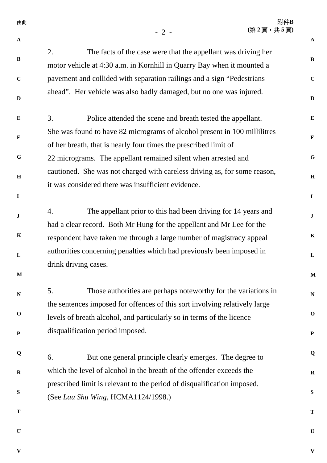| 由此           | (第2頁,共5頁)                                                                                                                                          | 附件B          |
|--------------|----------------------------------------------------------------------------------------------------------------------------------------------------|--------------|
| $\mathbf{A}$ | $-2-$                                                                                                                                              | $\mathbf{A}$ |
| B            | The facts of the case were that the appellant was driving her<br>2.<br>motor vehicle at 4:30 a.m. in Kornhill in Quarry Bay when it mounted a      | $\bf{B}$     |
| $\mathbf C$  | pavement and collided with separation railings and a sign "Pedestrians"                                                                            | $\mathbf C$  |
| D            | ahead". Her vehicle was also badly damaged, but no one was injured.                                                                                | $\mathbf D$  |
| $\bf{E}$     | 3.<br>Police attended the scene and breath tested the appellant.                                                                                   | $\bf{E}$     |
| $\mathbf F$  | She was found to have 82 micrograms of alcohol present in 100 millilitres<br>of her breath, that is nearly four times the prescribed limit of      | $\mathbf F$  |
| G            | 22 micrograms. The appellant remained silent when arrested and                                                                                     | $\mathbf G$  |
| $\mathbf H$  | cautioned. She was not charged with careless driving as, for some reason,<br>it was considered there was insufficient evidence.                    | $\mathbf H$  |
| $\mathbf I$  |                                                                                                                                                    | $\mathbf{I}$ |
| J            | The appellant prior to this had been driving for 14 years and<br>4.<br>had a clear record. Both Mr Hung for the appellant and Mr Lee for the       | $\mathbf J$  |
| $\mathbf K$  | respondent have taken me through a large number of magistracy appeal                                                                               | $\mathbf K$  |
| L            | authorities concerning penalties which had previously been imposed in<br>drink driving cases.                                                      | $\mathbf L$  |
| $\mathbf{M}$ |                                                                                                                                                    | $\mathbf M$  |
| $\mathbf N$  | 5.<br>Those authorities are perhaps noteworthy for the variations in<br>the sentences imposed for offences of this sort involving relatively large | ${\bf N}$    |
| $\mathbf 0$  | levels of breath alcohol, and particularly so in terms of the licence                                                                              | $\mathbf 0$  |
| ${\bf P}$    | disqualification period imposed.                                                                                                                   | ${\bf P}$    |
| Q            | But one general principle clearly emerges. The degree to<br>6.                                                                                     | Q            |
| ${\bf R}$    | which the level of alcohol in the breath of the offender exceeds the                                                                               | $\mathbf R$  |
| S            | prescribed limit is relevant to the period of disqualification imposed.                                                                            | S            |
|              | (See Lau Shu Wing, HCMA1124/1998.)                                                                                                                 |              |
| T            |                                                                                                                                                    | T            |
| $\mathbf U$  |                                                                                                                                                    | ${\bf U}$    |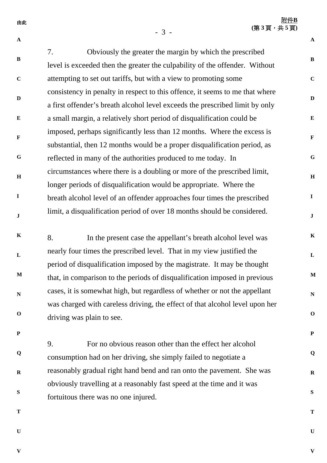附件**B (**第 **3** 頁,共 **5** 頁**)**

**A** 

**B** 

**C**

**D**

**E**

**F** 

**G**

**H**

**I**

**J**

**K**

**L**

**M**

**N**

**O**

**P**

**Q**

**R**

**S**

**T**

**U**

- 3 -

**A** 

**B C D E F G H I J K L M N O P Q R S** 7. Obviously the greater the margin by which the prescribed level is exceeded then the greater the culpability of the offender. Without attempting to set out tariffs, but with a view to promoting some consistency in penalty in respect to this offence, it seems to me that where a first offender's breath alcohol level exceeds the prescribed limit by only a small margin, a relatively short period of disqualification could be imposed, perhaps significantly less than 12 months. Where the excess is substantial, then 12 months would be a proper disqualification period, as reflected in many of the authorities produced to me today. In circumstances where there is a doubling or more of the prescribed limit, longer periods of disqualification would be appropriate. Where the breath alcohol level of an offender approaches four times the prescribed limit, a disqualification period of over 18 months should be considered. 8. In the present case the appellant's breath alcohol level was nearly four times the prescribed level. That in my view justified the period of disqualification imposed by the magistrate. It may be thought that, in comparison to the periods of disqualification imposed in previous cases, it is somewhat high, but regardless of whether or not the appellant was charged with careless driving, the effect of that alcohol level upon her driving was plain to see. 9. For no obvious reason other than the effect her alcohol consumption had on her driving, she simply failed to negotiate a reasonably gradual right hand bend and ran onto the pavement. She was obviously travelling at a reasonably fast speed at the time and it was fortuitous there was no one injured.

**T**

**U**

**V**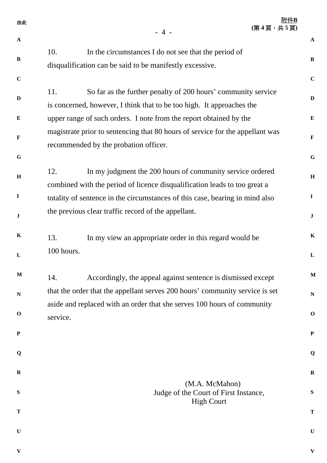| 由此           |            | $-4-$                                                                                                                                                   | 附件B<br>(第4頁,共5頁) |              |
|--------------|------------|---------------------------------------------------------------------------------------------------------------------------------------------------------|------------------|--------------|
| $\mathbf{A}$ |            |                                                                                                                                                         |                  | $\mathbf{A}$ |
| $\bf{B}$     | 10.        | In the circumstances I do not see that the period of                                                                                                    |                  | B            |
|              |            | disqualification can be said to be manifestly excessive.                                                                                                |                  |              |
| $\mathbf C$  |            |                                                                                                                                                         |                  | $\mathbf C$  |
| $\mathbf{D}$ | 11.        | So far as the further penalty of 200 hours' community service                                                                                           |                  | $\mathbf{D}$ |
| E            |            | is concerned, however, I think that to be too high. It approaches the                                                                                   |                  | $\bf{E}$     |
|              |            | upper range of such orders. I note from the report obtained by the<br>magistrate prior to sentencing that 80 hours of service for the appellant was     |                  |              |
| $\mathbf F$  |            | recommended by the probation officer.                                                                                                                   |                  | $\mathbf F$  |
| $\mathbf G$  |            |                                                                                                                                                         |                  | G            |
|              | 12.        | In my judgment the 200 hours of community service ordered                                                                                               |                  |              |
| H            |            | combined with the period of licence disqualification leads to too great a                                                                               |                  | $\mathbf H$  |
| $\mathbf I$  |            | totality of sentence in the circumstances of this case, bearing in mind also                                                                            |                  | $\mathbf I$  |
| J            |            | the previous clear traffic record of the appellant.                                                                                                     |                  | $\mathbf J$  |
|              |            |                                                                                                                                                         |                  |              |
| $\bf K$      | 13.        | In my view an appropriate order in this regard would be                                                                                                 |                  | $\mathbf K$  |
| L            | 100 hours. |                                                                                                                                                         |                  | $\mathbf{L}$ |
| $\mathbf M$  |            |                                                                                                                                                         |                  | $\mathbf M$  |
|              | 14.        | Accordingly, the appeal against sentence is dismissed except                                                                                            |                  |              |
| $\mathbf N$  |            | that the order that the appellant serves 200 hours' community service is set<br>aside and replaced with an order that she serves 100 hours of community |                  | ${\bf N}$    |
| $\mathbf 0$  | service.   |                                                                                                                                                         |                  | $\mathbf 0$  |
| ${\bf P}$    |            |                                                                                                                                                         |                  |              |
|              |            |                                                                                                                                                         |                  | ${\bf P}$    |
| Q            |            |                                                                                                                                                         |                  | Q            |
| $\mathbf R$  |            |                                                                                                                                                         |                  | $\bf R$      |
|              |            | (M.A. McMahon)                                                                                                                                          |                  |              |
| S            |            | Judge of the Court of First Instance,<br><b>High Court</b>                                                                                              |                  | ${\bf S}$    |
| T            |            |                                                                                                                                                         |                  | T            |
| $\mathbf U$  |            |                                                                                                                                                         |                  | $\mathbf U$  |
|              |            |                                                                                                                                                         |                  |              |
| $\mathbf{V}$ |            |                                                                                                                                                         |                  | $\mathbf{V}$ |